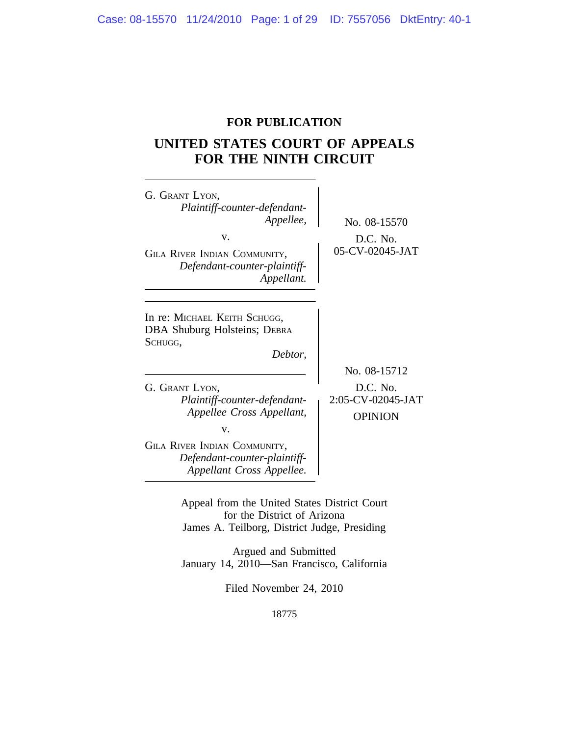## **FOR PUBLICATION**

# **UNITED STATES COURT OF APPEALS FOR THE NINTH CIRCUIT**

| G. GRANT LYON,<br>Plaintiff-counter-defendant-<br>Appellee,<br>v.<br>GILA RIVER INDIAN COMMUNITY,<br>Defendant-counter-plaintiff-<br>Appellant.                                                   | No. 08-15570<br>D.C. No.<br>05-CV-02045-JAT                     |
|---------------------------------------------------------------------------------------------------------------------------------------------------------------------------------------------------|-----------------------------------------------------------------|
| In re: MICHAEL KEITH SCHUGG,<br><b>DBA Shuburg Holsteins; DEBRA</b><br>SCHUGG,<br>Debtor,<br>G. GRANT LYON,<br>Plaintiff-counter-defendant-<br>Appellee Cross Appellant,<br>v.                    | No. 08-15712<br>D.C. No.<br>2:05-CV-02045-JAT<br><b>OPINION</b> |
| GILA RIVER INDIAN COMMUNITY,<br>Defendant-counter-plaintiff-<br>Appellant Cross Appellee.                                                                                                         |                                                                 |
| Appeal from the United States District Court<br>for the District of Arizona<br>James A. Teilborg, District Judge, Presiding<br>Argued and Submitted<br>January 14, 2010—San Francisco, California |                                                                 |

Filed November 24, 2010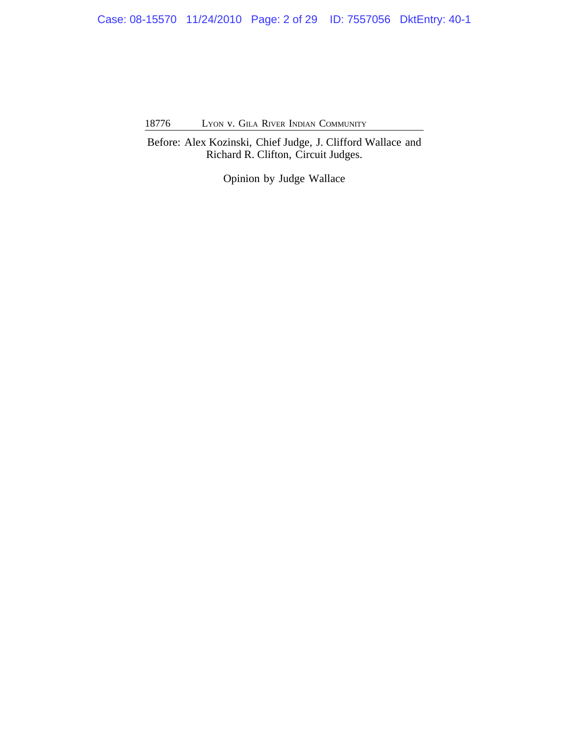Case: 08-15570 11/24/2010 Page: 2 of 29 ID: 7557056 DktEntry: 40-1

18776 LYON v. GILA RIVER INDIAN COMMUNITY

Before: Alex Kozinski, Chief Judge, J. Clifford Wallace and Richard R. Clifton, Circuit Judges.

Opinion by Judge Wallace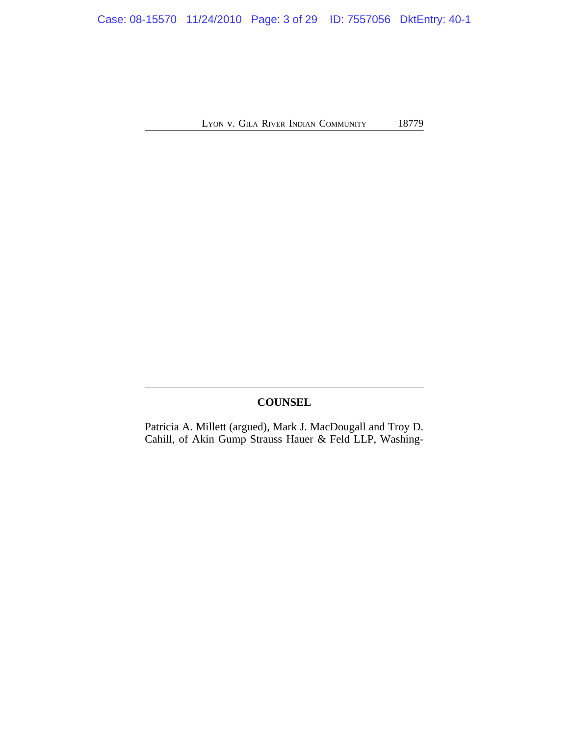Case: 08-15570 11/24/2010 Page: 3 of 29 ID: 7557056 DktEntry: 40-1

LYON V. GILA RIVER INDIAN COMMUNITY 18779

## **COUNSEL**

Patricia A. Millett (argued), Mark J. MacDougall and Troy D. Cahill, of Akin Gump Strauss Hauer & Feld LLP, Washing-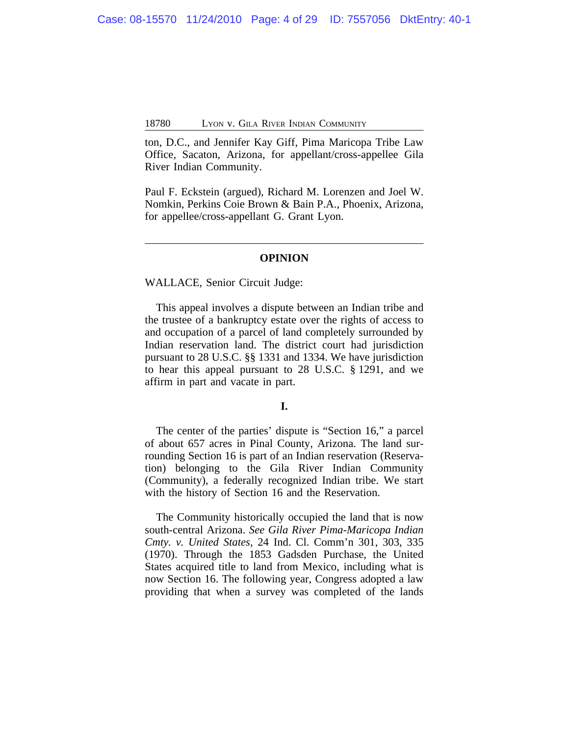ton, D.C., and Jennifer Kay Giff, Pima Maricopa Tribe Law Office, Sacaton, Arizona, for appellant/cross-appellee Gila River Indian Community.

Paul F. Eckstein (argued), Richard M. Lorenzen and Joel W. Nomkin, Perkins Coie Brown & Bain P.A., Phoenix, Arizona, for appellee/cross-appellant G. Grant Lyon.

#### **OPINION**

#### WALLACE, Senior Circuit Judge:

This appeal involves a dispute between an Indian tribe and the trustee of a bankruptcy estate over the rights of access to and occupation of a parcel of land completely surrounded by Indian reservation land. The district court had jurisdiction pursuant to 28 U.S.C. §§ 1331 and 1334. We have jurisdiction to hear this appeal pursuant to 28 U.S.C. § 1291, and we affirm in part and vacate in part.

## **I.**

The center of the parties' dispute is "Section 16," a parcel of about 657 acres in Pinal County, Arizona. The land surrounding Section 16 is part of an Indian reservation (Reservation) belonging to the Gila River Indian Community (Community), a federally recognized Indian tribe. We start with the history of Section 16 and the Reservation.

The Community historically occupied the land that is now south-central Arizona. *See Gila River Pima-Maricopa Indian Cmty. v. United States*, 24 Ind. Cl. Comm'n 301, 303, 335 (1970). Through the 1853 Gadsden Purchase, the United States acquired title to land from Mexico, including what is now Section 16. The following year, Congress adopted a law providing that when a survey was completed of the lands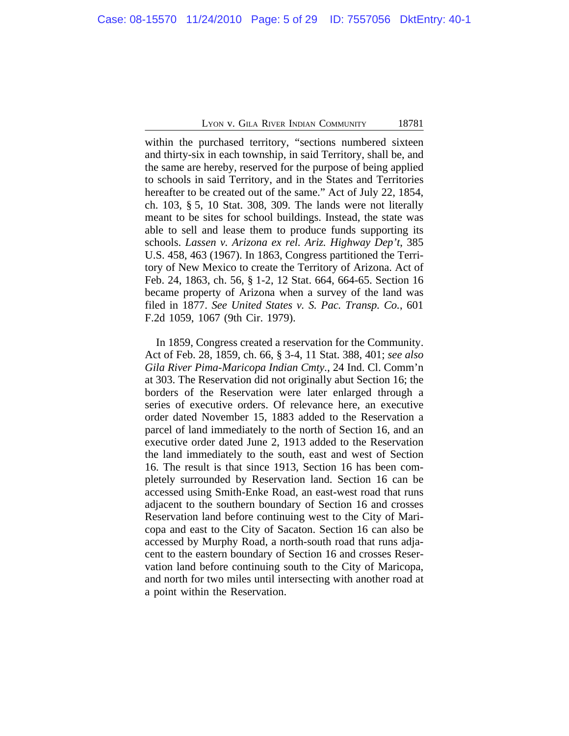within the purchased territory, "sections numbered sixteen and thirty-six in each township, in said Territory, shall be, and the same are hereby, reserved for the purpose of being applied to schools in said Territory, and in the States and Territories hereafter to be created out of the same." Act of July 22, 1854, ch. 103, § 5, 10 Stat. 308, 309. The lands were not literally meant to be sites for school buildings. Instead, the state was able to sell and lease them to produce funds supporting its schools. *Lassen v. Arizona ex rel. Ariz. Highway Dep't*, 385 U.S. 458, 463 (1967). In 1863, Congress partitioned the Territory of New Mexico to create the Territory of Arizona. Act of Feb. 24, 1863, ch. 56, § 1-2, 12 Stat. 664, 664-65. Section 16 became property of Arizona when a survey of the land was filed in 1877. *See United States v. S. Pac. Transp. Co.*, 601 F.2d 1059, 1067 (9th Cir. 1979).

In 1859, Congress created a reservation for the Community. Act of Feb. 28, 1859, ch. 66, § 3-4, 11 Stat. 388, 401; *see also Gila River Pima-Maricopa Indian Cmty.*, 24 Ind. Cl. Comm'n at 303. The Reservation did not originally abut Section 16; the borders of the Reservation were later enlarged through a series of executive orders. Of relevance here, an executive order dated November 15, 1883 added to the Reservation a parcel of land immediately to the north of Section 16, and an executive order dated June 2, 1913 added to the Reservation the land immediately to the south, east and west of Section 16. The result is that since 1913, Section 16 has been completely surrounded by Reservation land. Section 16 can be accessed using Smith-Enke Road, an east-west road that runs adjacent to the southern boundary of Section 16 and crosses Reservation land before continuing west to the City of Maricopa and east to the City of Sacaton. Section 16 can also be accessed by Murphy Road, a north-south road that runs adjacent to the eastern boundary of Section 16 and crosses Reservation land before continuing south to the City of Maricopa, and north for two miles until intersecting with another road at a point within the Reservation.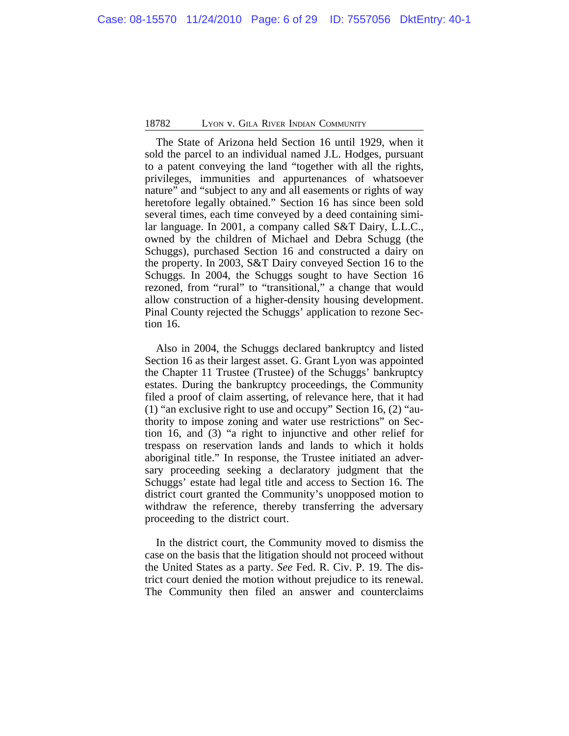The State of Arizona held Section 16 until 1929, when it sold the parcel to an individual named J.L. Hodges, pursuant to a patent conveying the land "together with all the rights, privileges, immunities and appurtenances of whatsoever nature" and "subject to any and all easements or rights of way heretofore legally obtained." Section 16 has since been sold several times, each time conveyed by a deed containing similar language. In 2001, a company called S&T Dairy, L.L.C., owned by the children of Michael and Debra Schugg (the Schuggs), purchased Section 16 and constructed a dairy on the property. In 2003, S&T Dairy conveyed Section 16 to the Schuggs. In 2004, the Schuggs sought to have Section 16 rezoned, from "rural" to "transitional," a change that would allow construction of a higher-density housing development. Pinal County rejected the Schuggs' application to rezone Section 16.

Also in 2004, the Schuggs declared bankruptcy and listed Section 16 as their largest asset. G. Grant Lyon was appointed the Chapter 11 Trustee (Trustee) of the Schuggs' bankruptcy estates. During the bankruptcy proceedings, the Community filed a proof of claim asserting, of relevance here, that it had (1) "an exclusive right to use and occupy" Section 16, (2) "authority to impose zoning and water use restrictions" on Section 16, and (3) "a right to injunctive and other relief for trespass on reservation lands and lands to which it holds aboriginal title." In response, the Trustee initiated an adversary proceeding seeking a declaratory judgment that the Schuggs' estate had legal title and access to Section 16. The district court granted the Community's unopposed motion to withdraw the reference, thereby transferring the adversary proceeding to the district court.

In the district court, the Community moved to dismiss the case on the basis that the litigation should not proceed without the United States as a party. *See* Fed. R. Civ. P. 19. The district court denied the motion without prejudice to its renewal. The Community then filed an answer and counterclaims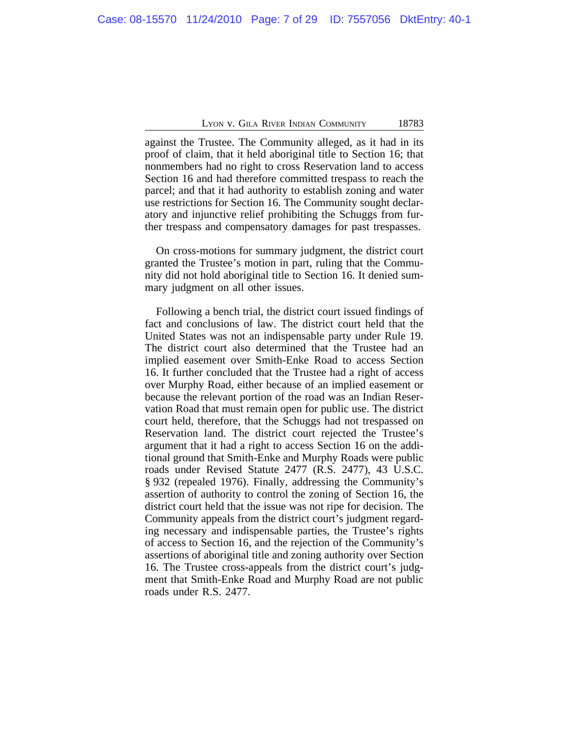against the Trustee. The Community alleged, as it had in its proof of claim, that it held aboriginal title to Section 16; that nonmembers had no right to cross Reservation land to access Section 16 and had therefore committed trespass to reach the parcel; and that it had authority to establish zoning and water use restrictions for Section 16. The Community sought declaratory and injunctive relief prohibiting the Schuggs from further trespass and compensatory damages for past trespasses.

On cross-motions for summary judgment, the district court granted the Trustee's motion in part, ruling that the Community did not hold aboriginal title to Section 16. It denied summary judgment on all other issues.

Following a bench trial, the district court issued findings of fact and conclusions of law. The district court held that the United States was not an indispensable party under Rule 19. The district court also determined that the Trustee had an implied easement over Smith-Enke Road to access Section 16. It further concluded that the Trustee had a right of access over Murphy Road, either because of an implied easement or because the relevant portion of the road was an Indian Reservation Road that must remain open for public use. The district court held, therefore, that the Schuggs had not trespassed on Reservation land. The district court rejected the Trustee's argument that it had a right to access Section 16 on the additional ground that Smith-Enke and Murphy Roads were public roads under Revised Statute 2477 (R.S. 2477), 43 U.S.C. § 932 (repealed 1976). Finally, addressing the Community's assertion of authority to control the zoning of Section 16, the district court held that the issue was not ripe for decision. The Community appeals from the district court's judgment regarding necessary and indispensable parties, the Trustee's rights of access to Section 16, and the rejection of the Community's assertions of aboriginal title and zoning authority over Section 16. The Trustee cross-appeals from the district court's judgment that Smith-Enke Road and Murphy Road are not public roads under R.S. 2477.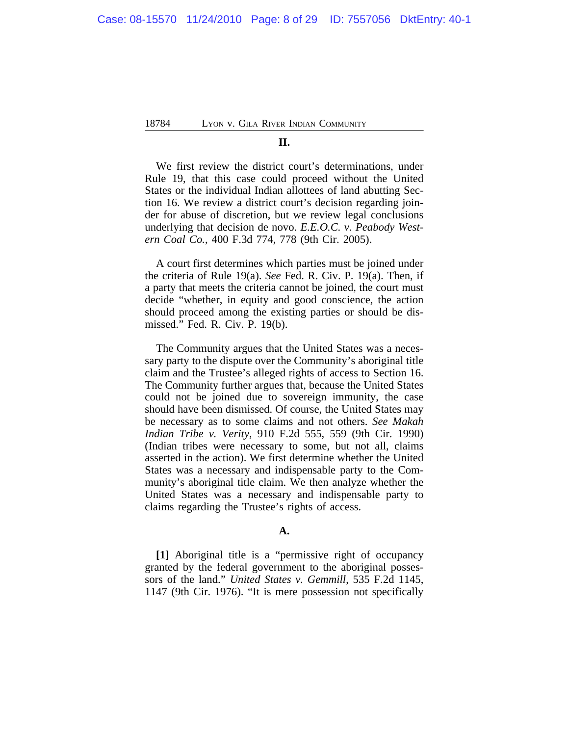#### **II.**

We first review the district court's determinations, under Rule 19, that this case could proceed without the United States or the individual Indian allottees of land abutting Section 16. We review a district court's decision regarding joinder for abuse of discretion, but we review legal conclusions underlying that decision de novo. *E.E.O.C. v. Peabody Western Coal Co.*, 400 F.3d 774, 778 (9th Cir. 2005).

A court first determines which parties must be joined under the criteria of Rule 19(a). *See* Fed. R. Civ. P. 19(a). Then, if a party that meets the criteria cannot be joined, the court must decide "whether, in equity and good conscience, the action should proceed among the existing parties or should be dismissed." Fed. R. Civ. P. 19(b).

The Community argues that the United States was a necessary party to the dispute over the Community's aboriginal title claim and the Trustee's alleged rights of access to Section 16. The Community further argues that, because the United States could not be joined due to sovereign immunity, the case should have been dismissed. Of course, the United States may be necessary as to some claims and not others. *See Makah Indian Tribe v. Verity*, 910 F.2d 555, 559 (9th Cir. 1990) (Indian tribes were necessary to some, but not all, claims asserted in the action). We first determine whether the United States was a necessary and indispensable party to the Community's aboriginal title claim. We then analyze whether the United States was a necessary and indispensable party to claims regarding the Trustee's rights of access.

## **A.**

**[1]** Aboriginal title is a "permissive right of occupancy granted by the federal government to the aboriginal possessors of the land." *United States v. Gemmill*, 535 F.2d 1145, 1147 (9th Cir. 1976). "It is mere possession not specifically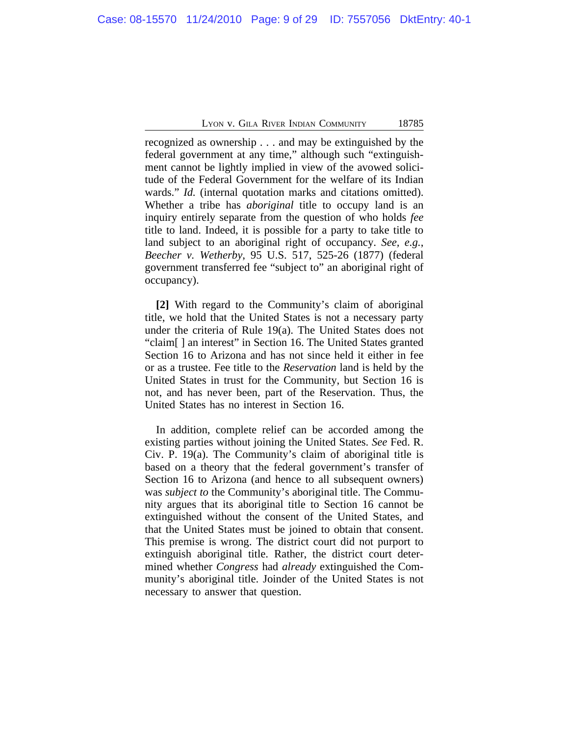recognized as ownership . . . and may be extinguished by the federal government at any time," although such "extinguishment cannot be lightly implied in view of the avowed solicitude of the Federal Government for the welfare of its Indian wards." *Id.* (internal quotation marks and citations omitted). Whether a tribe has *aboriginal* title to occupy land is an inquiry entirely separate from the question of who holds *fee* title to land. Indeed, it is possible for a party to take title to land subject to an aboriginal right of occupancy. *See, e.g.*, *Beecher v. Wetherby*, 95 U.S. 517, 525-26 (1877) (federal government transferred fee "subject to" an aboriginal right of occupancy).

**[2]** With regard to the Community's claim of aboriginal title, we hold that the United States is not a necessary party under the criteria of Rule 19(a). The United States does not "claim[ ] an interest" in Section 16. The United States granted Section 16 to Arizona and has not since held it either in fee or as a trustee. Fee title to the *Reservation* land is held by the United States in trust for the Community, but Section 16 is not, and has never been, part of the Reservation. Thus, the United States has no interest in Section 16.

In addition, complete relief can be accorded among the existing parties without joining the United States. *See* Fed. R. Civ. P. 19(a). The Community's claim of aboriginal title is based on a theory that the federal government's transfer of Section 16 to Arizona (and hence to all subsequent owners) was *subject to* the Community's aboriginal title. The Community argues that its aboriginal title to Section 16 cannot be extinguished without the consent of the United States, and that the United States must be joined to obtain that consent. This premise is wrong. The district court did not purport to extinguish aboriginal title. Rather, the district court determined whether *Congress* had *already* extinguished the Community's aboriginal title. Joinder of the United States is not necessary to answer that question.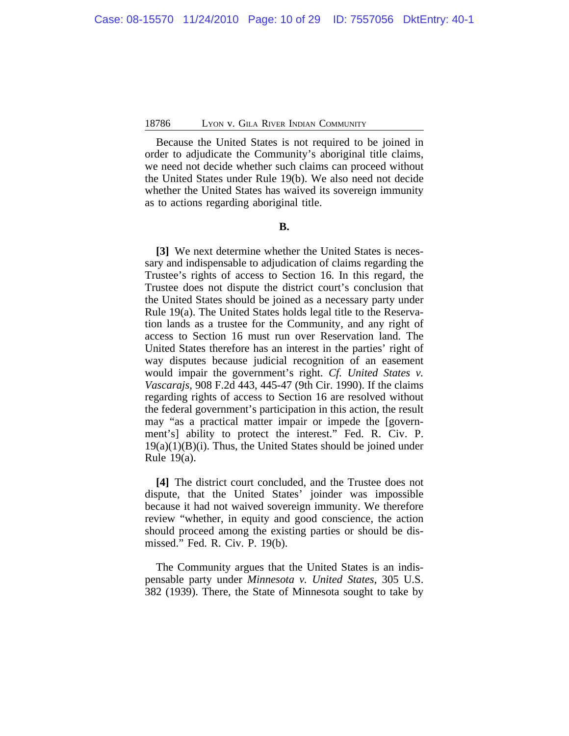Because the United States is not required to be joined in order to adjudicate the Community's aboriginal title claims, we need not decide whether such claims can proceed without the United States under Rule 19(b). We also need not decide whether the United States has waived its sovereign immunity as to actions regarding aboriginal title.

## **B.**

**[3]** We next determine whether the United States is necessary and indispensable to adjudication of claims regarding the Trustee's rights of access to Section 16. In this regard, the Trustee does not dispute the district court's conclusion that the United States should be joined as a necessary party under Rule 19(a). The United States holds legal title to the Reservation lands as a trustee for the Community, and any right of access to Section 16 must run over Reservation land. The United States therefore has an interest in the parties' right of way disputes because judicial recognition of an easement would impair the government's right. *Cf. United States v. Vascarajs*, 908 F.2d 443, 445-47 (9th Cir. 1990). If the claims regarding rights of access to Section 16 are resolved without the federal government's participation in this action, the result may "as a practical matter impair or impede the [government's] ability to protect the interest." Fed. R. Civ. P.  $19(a)(1)(B)(i)$ . Thus, the United States should be joined under Rule 19(a).

**[4]** The district court concluded, and the Trustee does not dispute, that the United States' joinder was impossible because it had not waived sovereign immunity. We therefore review "whether, in equity and good conscience, the action should proceed among the existing parties or should be dismissed." Fed. R. Civ. P. 19(b).

The Community argues that the United States is an indispensable party under *Minnesota v. United States*, 305 U.S. 382 (1939). There, the State of Minnesota sought to take by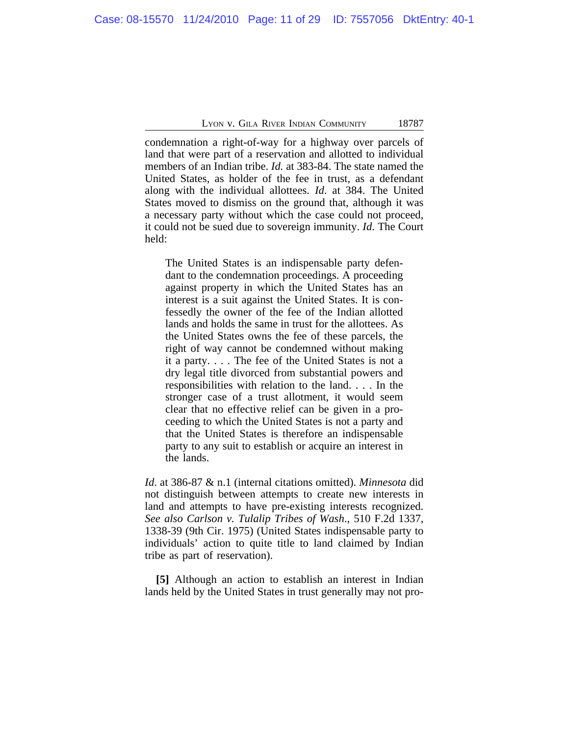condemnation a right-of-way for a highway over parcels of land that were part of a reservation and allotted to individual members of an Indian tribe. *Id.* at 383-84. The state named the United States, as holder of the fee in trust, as a defendant along with the individual allottees. *Id*. at 384. The United States moved to dismiss on the ground that, although it was a necessary party without which the case could not proceed, it could not be sued due to sovereign immunity. *Id*. The Court held:

The United States is an indispensable party defendant to the condemnation proceedings. A proceeding against property in which the United States has an interest is a suit against the United States. It is confessedly the owner of the fee of the Indian allotted lands and holds the same in trust for the allottees. As the United States owns the fee of these parcels, the right of way cannot be condemned without making it a party. . . . The fee of the United States is not a dry legal title divorced from substantial powers and responsibilities with relation to the land. . . . In the stronger case of a trust allotment, it would seem clear that no effective relief can be given in a proceeding to which the United States is not a party and that the United States is therefore an indispensable party to any suit to establish or acquire an interest in the lands.

*Id*. at 386-87 & n.1 (internal citations omitted). *Minnesota* did not distinguish between attempts to create new interests in land and attempts to have pre-existing interests recognized. *See also Carlson v. Tulalip Tribes of Wash*., 510 F.2d 1337, 1338-39 (9th Cir. 1975) (United States indispensable party to individuals' action to quite title to land claimed by Indian tribe as part of reservation).

**[5]** Although an action to establish an interest in Indian lands held by the United States in trust generally may not pro-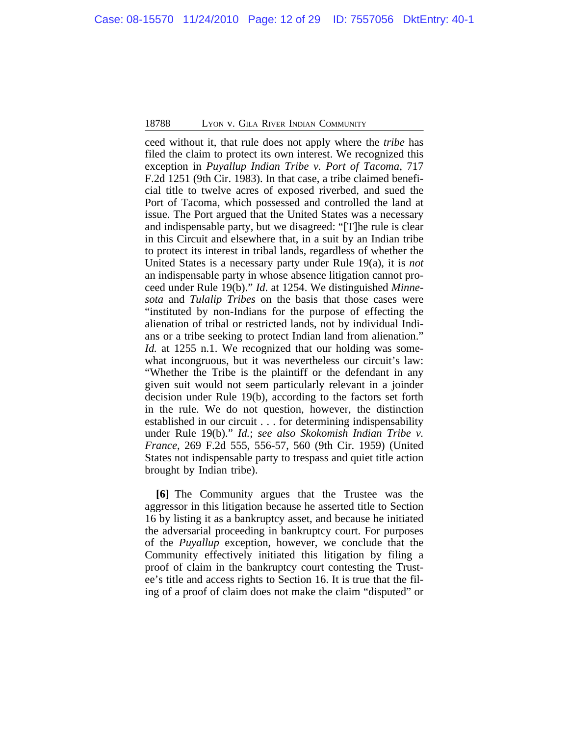ceed without it, that rule does not apply where the *tribe* has filed the claim to protect its own interest. We recognized this exception in *Puyallup Indian Tribe v. Port of Tacoma*, 717 F.2d 1251 (9th Cir. 1983). In that case, a tribe claimed beneficial title to twelve acres of exposed riverbed, and sued the Port of Tacoma, which possessed and controlled the land at issue. The Port argued that the United States was a necessary and indispensable party, but we disagreed: "[T]he rule is clear in this Circuit and elsewhere that, in a suit by an Indian tribe to protect its interest in tribal lands, regardless of whether the United States is a necessary party under Rule 19(a), it is *not* an indispensable party in whose absence litigation cannot proceed under Rule 19(b)." *Id*. at 1254. We distinguished *Minnesota* and *Tulalip Tribes* on the basis that those cases were "instituted by non-Indians for the purpose of effecting the alienation of tribal or restricted lands, not by individual Indians or a tribe seeking to protect Indian land from alienation." *Id.* at 1255 n.1. We recognized that our holding was somewhat incongruous, but it was nevertheless our circuit's law: "Whether the Tribe is the plaintiff or the defendant in any given suit would not seem particularly relevant in a joinder decision under Rule 19(b), according to the factors set forth in the rule. We do not question, however, the distinction established in our circuit . . . for determining indispensability under Rule 19(b)." *Id.*; *see also Skokomish Indian Tribe v. France*, 269 F.2d 555, 556-57, 560 (9th Cir. 1959) (United States not indispensable party to trespass and quiet title action brought by Indian tribe).

**[6]** The Community argues that the Trustee was the aggressor in this litigation because he asserted title to Section 16 by listing it as a bankruptcy asset, and because he initiated the adversarial proceeding in bankruptcy court. For purposes of the *Puyallup* exception, however, we conclude that the Community effectively initiated this litigation by filing a proof of claim in the bankruptcy court contesting the Trustee's title and access rights to Section 16. It is true that the filing of a proof of claim does not make the claim "disputed" or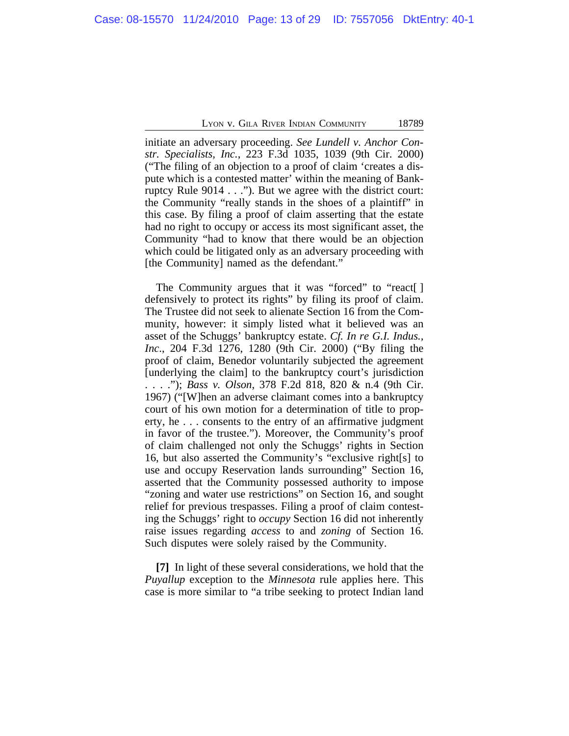initiate an adversary proceeding. *See Lundell v. Anchor Constr. Specialists, Inc.*, 223 F.3d 1035, 1039 (9th Cir. 2000) ("The filing of an objection to a proof of claim 'creates a dispute which is a contested matter' within the meaning of Bankruptcy Rule 9014 . . ."). But we agree with the district court: the Community "really stands in the shoes of a plaintiff" in this case. By filing a proof of claim asserting that the estate had no right to occupy or access its most significant asset, the Community "had to know that there would be an objection which could be litigated only as an adversary proceeding with [the Community] named as the defendant."

The Community argues that it was "forced" to "react<sup>[]</sup> defensively to protect its rights" by filing its proof of claim. The Trustee did not seek to alienate Section 16 from the Community, however: it simply listed what it believed was an asset of the Schuggs' bankruptcy estate. *Cf. In re G.I. Indus., Inc*., 204 F.3d 1276, 1280 (9th Cir. 2000) ("By filing the proof of claim, Benedor voluntarily subjected the agreement [underlying the claim] to the bankruptcy court's jurisdiction . . . ."); *Bass v. Olson*, 378 F.2d 818, 820 & n.4 (9th Cir. 1967) ("[W]hen an adverse claimant comes into a bankruptcy court of his own motion for a determination of title to property, he . . . consents to the entry of an affirmative judgment in favor of the trustee."). Moreover, the Community's proof of claim challenged not only the Schuggs' rights in Section 16, but also asserted the Community's "exclusive right[s] to use and occupy Reservation lands surrounding" Section 16, asserted that the Community possessed authority to impose "zoning and water use restrictions" on Section 16, and sought relief for previous trespasses. Filing a proof of claim contesting the Schuggs' right to *occupy* Section 16 did not inherently raise issues regarding *access* to and *zoning* of Section 16. Such disputes were solely raised by the Community.

**[7]** In light of these several considerations, we hold that the *Puyallup* exception to the *Minnesota* rule applies here. This case is more similar to "a tribe seeking to protect Indian land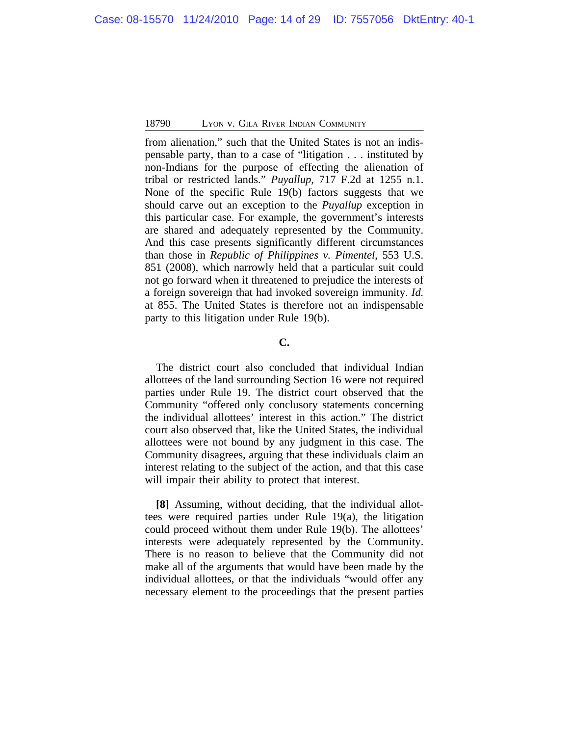from alienation," such that the United States is not an indispensable party, than to a case of "litigation . . . instituted by non-Indians for the purpose of effecting the alienation of tribal or restricted lands." *Puyallup*, 717 F.2d at 1255 n.1. None of the specific Rule 19(b) factors suggests that we should carve out an exception to the *Puyallup* exception in this particular case. For example, the government's interests are shared and adequately represented by the Community. And this case presents significantly different circumstances than those in *Republic of Philippines v. Pimentel*, 553 U.S. 851 (2008), which narrowly held that a particular suit could not go forward when it threatened to prejudice the interests of a foreign sovereign that had invoked sovereign immunity. *Id.* at 855. The United States is therefore not an indispensable party to this litigation under Rule 19(b).

## **C.**

The district court also concluded that individual Indian allottees of the land surrounding Section 16 were not required parties under Rule 19. The district court observed that the Community "offered only conclusory statements concerning the individual allottees' interest in this action." The district court also observed that, like the United States, the individual allottees were not bound by any judgment in this case. The Community disagrees, arguing that these individuals claim an interest relating to the subject of the action, and that this case will impair their ability to protect that interest.

**[8]** Assuming, without deciding, that the individual allottees were required parties under Rule 19(a), the litigation could proceed without them under Rule 19(b). The allottees' interests were adequately represented by the Community. There is no reason to believe that the Community did not make all of the arguments that would have been made by the individual allottees, or that the individuals "would offer any necessary element to the proceedings that the present parties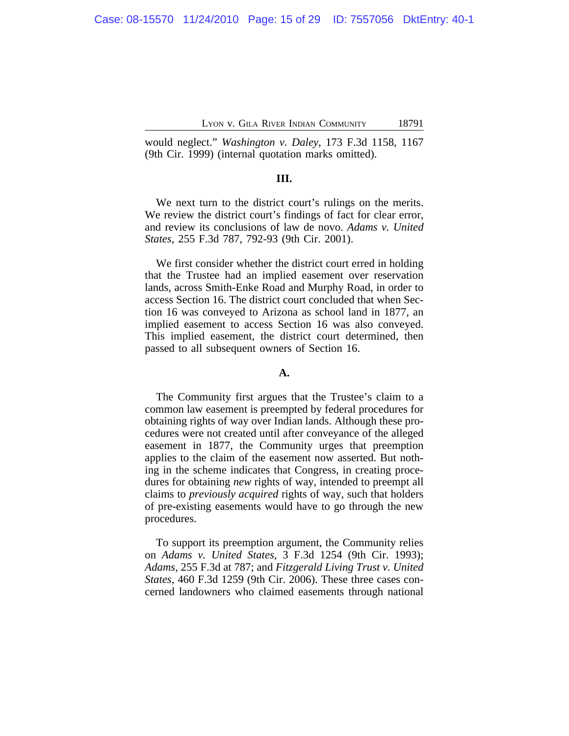would neglect." *Washington v. Daley*, 173 F.3d 1158, 1167 (9th Cir. 1999) (internal quotation marks omitted).

## **III.**

We next turn to the district court's rulings on the merits. We review the district court's findings of fact for clear error, and review its conclusions of law de novo. *Adams v. United States*, 255 F.3d 787, 792-93 (9th Cir. 2001).

We first consider whether the district court erred in holding that the Trustee had an implied easement over reservation lands, across Smith-Enke Road and Murphy Road, in order to access Section 16. The district court concluded that when Section 16 was conveyed to Arizona as school land in 1877, an implied easement to access Section 16 was also conveyed. This implied easement, the district court determined, then passed to all subsequent owners of Section 16.

## **A.**

The Community first argues that the Trustee's claim to a common law easement is preempted by federal procedures for obtaining rights of way over Indian lands. Although these procedures were not created until after conveyance of the alleged easement in 1877, the Community urges that preemption applies to the claim of the easement now asserted. But nothing in the scheme indicates that Congress, in creating procedures for obtaining *new* rights of way, intended to preempt all claims to *previously acquired* rights of way, such that holders of pre-existing easements would have to go through the new procedures.

To support its preemption argument, the Community relies on *Adams v. United States*, 3 F.3d 1254 (9th Cir. 1993); *Adams*, 255 F.3d at 787; and *Fitzgerald Living Trust v. United States*, 460 F.3d 1259 (9th Cir. 2006). These three cases concerned landowners who claimed easements through national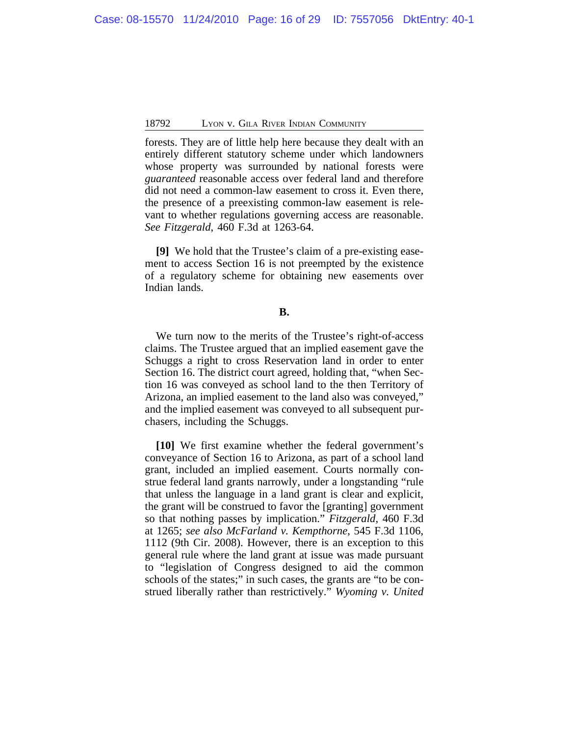forests. They are of little help here because they dealt with an entirely different statutory scheme under which landowners whose property was surrounded by national forests were *guaranteed* reasonable access over federal land and therefore did not need a common-law easement to cross it. Even there, the presence of a preexisting common-law easement is relevant to whether regulations governing access are reasonable. *See Fitzgerald*, 460 F.3d at 1263-64.

**[9]** We hold that the Trustee's claim of a pre-existing easement to access Section 16 is not preempted by the existence of a regulatory scheme for obtaining new easements over Indian lands.

## **B.**

We turn now to the merits of the Trustee's right-of-access claims. The Trustee argued that an implied easement gave the Schuggs a right to cross Reservation land in order to enter Section 16. The district court agreed, holding that, "when Section 16 was conveyed as school land to the then Territory of Arizona, an implied easement to the land also was conveyed," and the implied easement was conveyed to all subsequent purchasers, including the Schuggs.

**[10]** We first examine whether the federal government's conveyance of Section 16 to Arizona, as part of a school land grant, included an implied easement. Courts normally construe federal land grants narrowly, under a longstanding "rule that unless the language in a land grant is clear and explicit, the grant will be construed to favor the [granting] government so that nothing passes by implication." *Fitzgerald*, 460 F.3d at 1265; *see also McFarland v. Kempthorne*, 545 F.3d 1106, 1112 (9th Cir. 2008). However, there is an exception to this general rule where the land grant at issue was made pursuant to "legislation of Congress designed to aid the common schools of the states;" in such cases, the grants are "to be construed liberally rather than restrictively." *Wyoming v. United*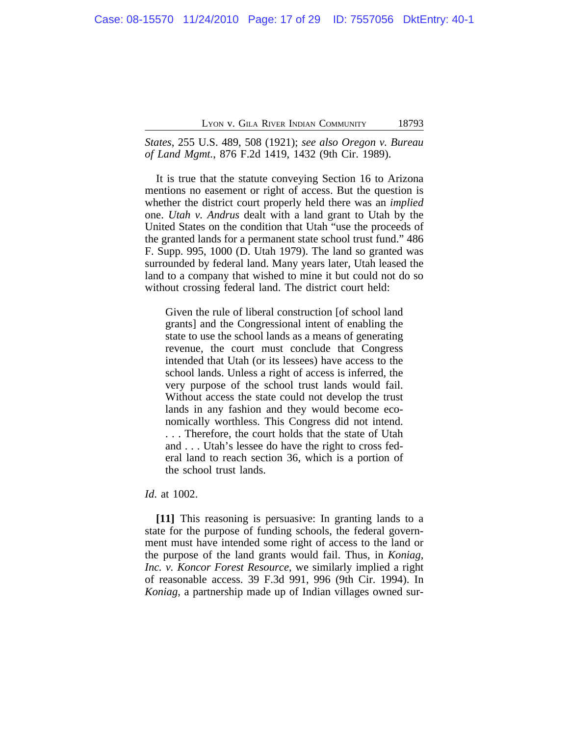*States*, 255 U.S. 489, 508 (1921); *see also Oregon v. Bureau of Land Mgmt.*, 876 F.2d 1419, 1432 (9th Cir. 1989).

It is true that the statute conveying Section 16 to Arizona mentions no easement or right of access. But the question is whether the district court properly held there was an *implied* one. *Utah v. Andrus* dealt with a land grant to Utah by the United States on the condition that Utah "use the proceeds of the granted lands for a permanent state school trust fund." 486 F. Supp. 995, 1000 (D. Utah 1979). The land so granted was surrounded by federal land. Many years later, Utah leased the land to a company that wished to mine it but could not do so without crossing federal land. The district court held:

Given the rule of liberal construction [of school land grants] and the Congressional intent of enabling the state to use the school lands as a means of generating revenue, the court must conclude that Congress intended that Utah (or its lessees) have access to the school lands. Unless a right of access is inferred, the very purpose of the school trust lands would fail. Without access the state could not develop the trust lands in any fashion and they would become economically worthless. This Congress did not intend. . . . Therefore, the court holds that the state of Utah and . . . Utah's lessee do have the right to cross federal land to reach section 36, which is a portion of the school trust lands.

*Id*. at 1002.

**[11]** This reasoning is persuasive: In granting lands to a state for the purpose of funding schools, the federal government must have intended some right of access to the land or the purpose of the land grants would fail. Thus, in *Koniag, Inc. v. Koncor Forest Resource*, we similarly implied a right of reasonable access. 39 F.3d 991, 996 (9th Cir. 1994). In *Koniag*, a partnership made up of Indian villages owned sur-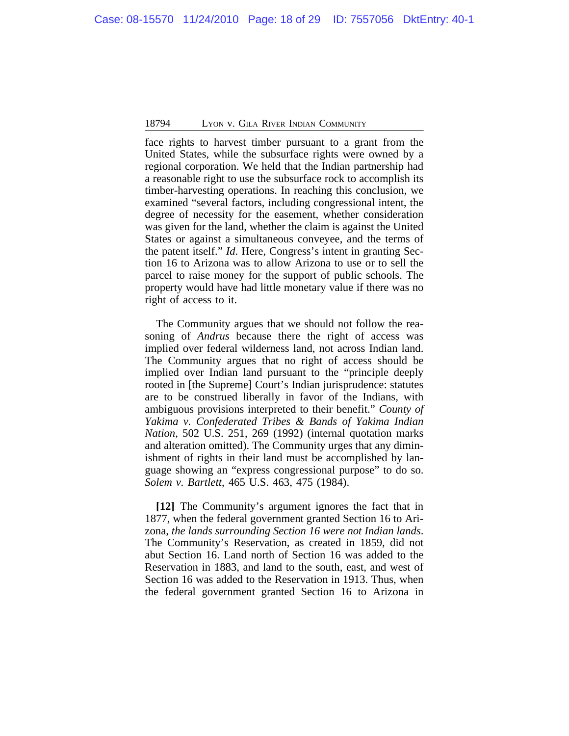face rights to harvest timber pursuant to a grant from the United States, while the subsurface rights were owned by a regional corporation. We held that the Indian partnership had a reasonable right to use the subsurface rock to accomplish its timber-harvesting operations. In reaching this conclusion, we examined "several factors, including congressional intent, the degree of necessity for the easement, whether consideration was given for the land, whether the claim is against the United States or against a simultaneous conveyee, and the terms of the patent itself." *Id*. Here, Congress's intent in granting Section 16 to Arizona was to allow Arizona to use or to sell the parcel to raise money for the support of public schools. The property would have had little monetary value if there was no right of access to it.

The Community argues that we should not follow the reasoning of *Andrus* because there the right of access was implied over federal wilderness land, not across Indian land. The Community argues that no right of access should be implied over Indian land pursuant to the "principle deeply rooted in [the Supreme] Court's Indian jurisprudence: statutes are to be construed liberally in favor of the Indians, with ambiguous provisions interpreted to their benefit." *County of Yakima v. Confederated Tribes & Bands of Yakima Indian Nation*, 502 U.S. 251, 269 (1992) (internal quotation marks and alteration omitted). The Community urges that any diminishment of rights in their land must be accomplished by language showing an "express congressional purpose" to do so. *Solem v. Bartlett*, 465 U.S. 463, 475 (1984).

**[12]** The Community's argument ignores the fact that in 1877, when the federal government granted Section 16 to Arizona, *the lands surrounding Section 16 were not Indian lands*. The Community's Reservation, as created in 1859, did not abut Section 16. Land north of Section 16 was added to the Reservation in 1883, and land to the south, east, and west of Section 16 was added to the Reservation in 1913. Thus, when the federal government granted Section 16 to Arizona in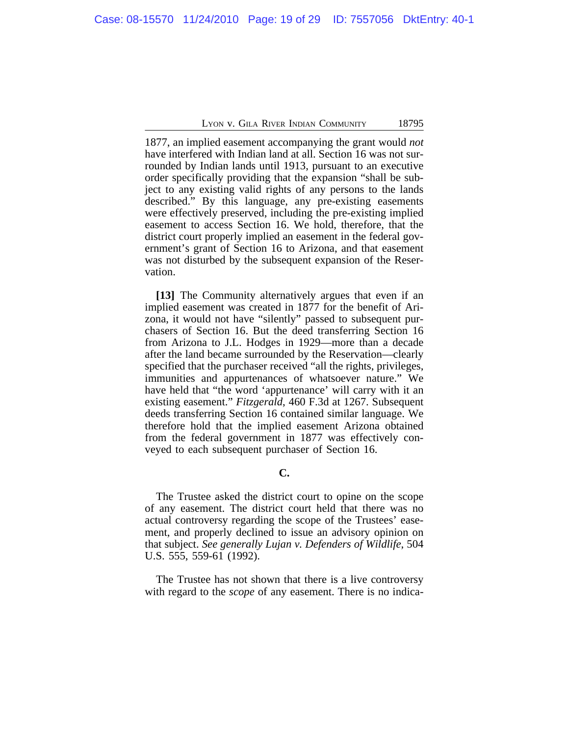1877, an implied easement accompanying the grant would *not* have interfered with Indian land at all. Section 16 was not surrounded by Indian lands until 1913, pursuant to an executive order specifically providing that the expansion "shall be subject to any existing valid rights of any persons to the lands described." By this language, any pre-existing easements were effectively preserved, including the pre-existing implied easement to access Section 16. We hold, therefore, that the district court properly implied an easement in the federal government's grant of Section 16 to Arizona, and that easement was not disturbed by the subsequent expansion of the Reservation.

**[13]** The Community alternatively argues that even if an implied easement was created in 1877 for the benefit of Arizona, it would not have "silently" passed to subsequent purchasers of Section 16. But the deed transferring Section 16 from Arizona to J.L. Hodges in 1929—more than a decade after the land became surrounded by the Reservation—clearly specified that the purchaser received "all the rights, privileges, immunities and appurtenances of whatsoever nature." We have held that "the word 'appurtenance' will carry with it an existing easement." *Fitzgerald*, 460 F.3d at 1267. Subsequent deeds transferring Section 16 contained similar language. We therefore hold that the implied easement Arizona obtained from the federal government in 1877 was effectively conveyed to each subsequent purchaser of Section 16.

**C.**

The Trustee asked the district court to opine on the scope of any easement. The district court held that there was no actual controversy regarding the scope of the Trustees' easement, and properly declined to issue an advisory opinion on that subject. *See generally Lujan v. Defenders of Wildlife*, 504 U.S. 555, 559-61 (1992).

The Trustee has not shown that there is a live controversy with regard to the *scope* of any easement. There is no indica-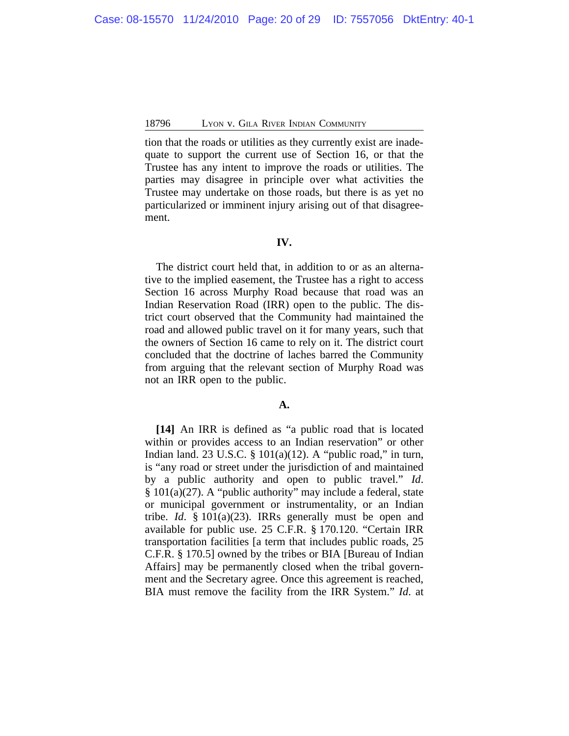tion that the roads or utilities as they currently exist are inadequate to support the current use of Section 16, or that the Trustee has any intent to improve the roads or utilities. The parties may disagree in principle over what activities the Trustee may undertake on those roads, but there is as yet no particularized or imminent injury arising out of that disagreement.

#### **IV.**

The district court held that, in addition to or as an alternative to the implied easement, the Trustee has a right to access Section 16 across Murphy Road because that road was an Indian Reservation Road (IRR) open to the public. The district court observed that the Community had maintained the road and allowed public travel on it for many years, such that the owners of Section 16 came to rely on it. The district court concluded that the doctrine of laches barred the Community from arguing that the relevant section of Murphy Road was not an IRR open to the public.

### **A.**

**[14]** An IRR is defined as "a public road that is located within or provides access to an Indian reservation" or other Indian land. 23 U.S.C.  $\S$  101(a)(12). A "public road," in turn, is "any road or street under the jurisdiction of and maintained by a public authority and open to public travel." *Id*. § 101(a)(27). A "public authority" may include a federal, state or municipal government or instrumentality, or an Indian tribe. *Id*. § 101(a)(23). IRRs generally must be open and available for public use. 25 C.F.R. § 170.120. "Certain IRR transportation facilities [a term that includes public roads, 25 C.F.R. § 170.5] owned by the tribes or BIA [Bureau of Indian Affairs] may be permanently closed when the tribal government and the Secretary agree. Once this agreement is reached, BIA must remove the facility from the IRR System." *Id*. at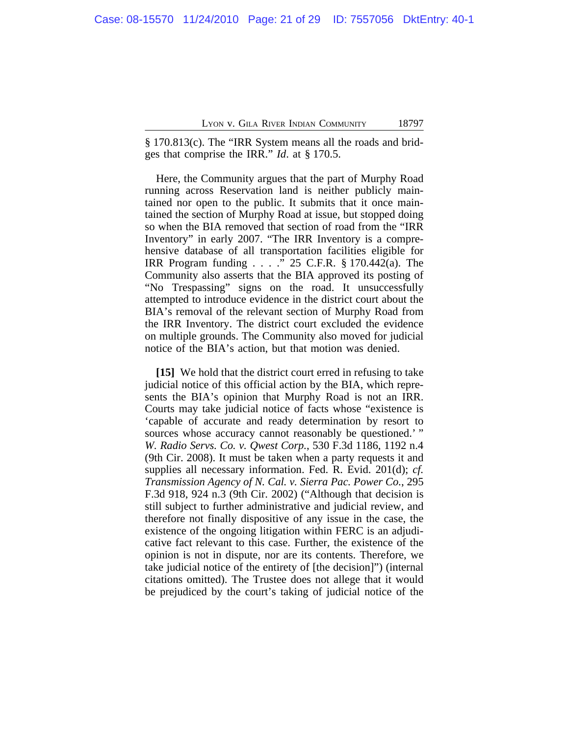§ 170.813(c). The "IRR System means all the roads and bridges that comprise the IRR." *Id*. at § 170.5.

Here, the Community argues that the part of Murphy Road running across Reservation land is neither publicly maintained nor open to the public. It submits that it once maintained the section of Murphy Road at issue, but stopped doing so when the BIA removed that section of road from the "IRR Inventory" in early 2007. "The IRR Inventory is a comprehensive database of all transportation facilities eligible for IRR Program funding . . . ." 25 C.F.R. § 170.442(a). The Community also asserts that the BIA approved its posting of "No Trespassing" signs on the road. It unsuccessfully attempted to introduce evidence in the district court about the BIA's removal of the relevant section of Murphy Road from the IRR Inventory. The district court excluded the evidence on multiple grounds. The Community also moved for judicial notice of the BIA's action, but that motion was denied.

**[15]** We hold that the district court erred in refusing to take judicial notice of this official action by the BIA, which represents the BIA's opinion that Murphy Road is not an IRR. Courts may take judicial notice of facts whose "existence is 'capable of accurate and ready determination by resort to sources whose accuracy cannot reasonably be questioned.'" *W. Radio Servs. Co. v. Qwest Corp.*, 530 F.3d 1186, 1192 n.4 (9th Cir. 2008). It must be taken when a party requests it and supplies all necessary information. Fed. R. Evid. 201(d); *cf. Transmission Agency of N. Cal. v. Sierra Pac. Power Co.*, 295 F.3d 918, 924 n.3 (9th Cir. 2002) ("Although that decision is still subject to further administrative and judicial review, and therefore not finally dispositive of any issue in the case, the existence of the ongoing litigation within FERC is an adjudicative fact relevant to this case. Further, the existence of the opinion is not in dispute, nor are its contents. Therefore, we take judicial notice of the entirety of [the decision]") (internal citations omitted). The Trustee does not allege that it would be prejudiced by the court's taking of judicial notice of the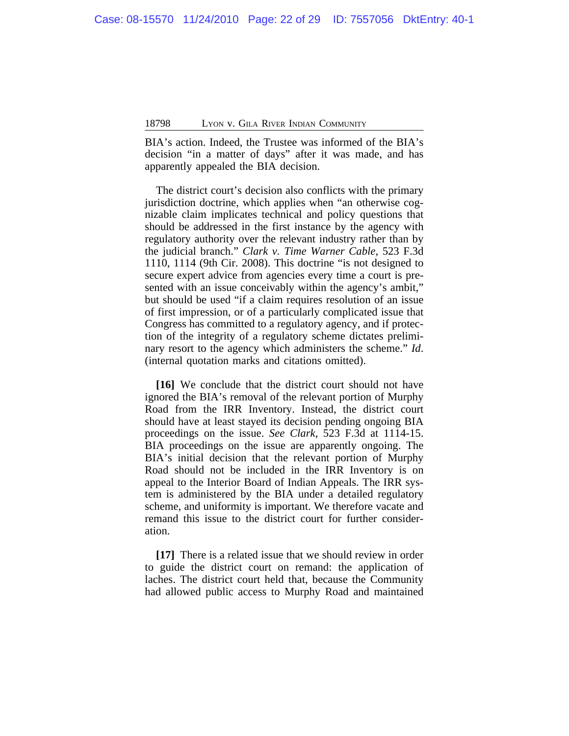BIA's action. Indeed, the Trustee was informed of the BIA's decision "in a matter of days" after it was made, and has apparently appealed the BIA decision.

The district court's decision also conflicts with the primary jurisdiction doctrine, which applies when "an otherwise cognizable claim implicates technical and policy questions that should be addressed in the first instance by the agency with regulatory authority over the relevant industry rather than by the judicial branch." *Clark v. Time Warner Cable*, 523 F.3d 1110, 1114 (9th Cir. 2008). This doctrine "is not designed to secure expert advice from agencies every time a court is presented with an issue conceivably within the agency's ambit," but should be used "if a claim requires resolution of an issue of first impression, or of a particularly complicated issue that Congress has committed to a regulatory agency, and if protection of the integrity of a regulatory scheme dictates preliminary resort to the agency which administers the scheme." *Id*. (internal quotation marks and citations omitted).

**[16]** We conclude that the district court should not have ignored the BIA's removal of the relevant portion of Murphy Road from the IRR Inventory. Instead, the district court should have at least stayed its decision pending ongoing BIA proceedings on the issue. *See Clark*, 523 F.3d at 1114-15. BIA proceedings on the issue are apparently ongoing. The BIA's initial decision that the relevant portion of Murphy Road should not be included in the IRR Inventory is on appeal to the Interior Board of Indian Appeals. The IRR system is administered by the BIA under a detailed regulatory scheme, and uniformity is important. We therefore vacate and remand this issue to the district court for further consideration.

**[17]** There is a related issue that we should review in order to guide the district court on remand: the application of laches. The district court held that, because the Community had allowed public access to Murphy Road and maintained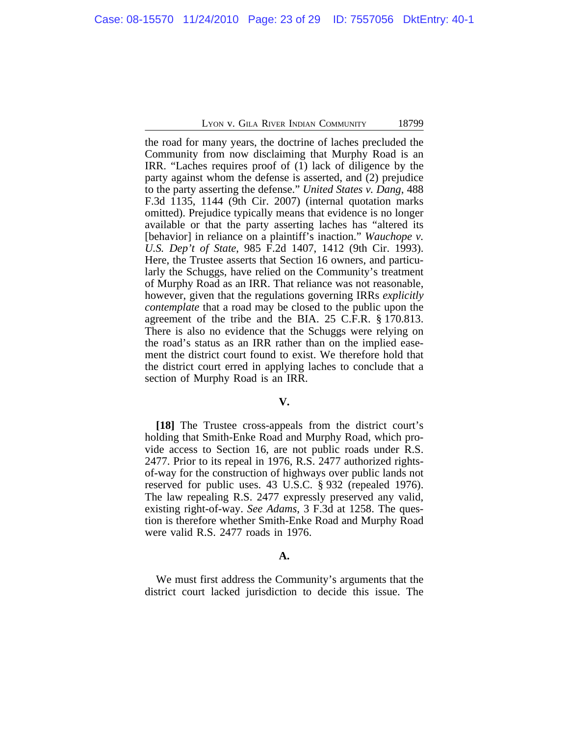the road for many years, the doctrine of laches precluded the Community from now disclaiming that Murphy Road is an IRR. "Laches requires proof of (1) lack of diligence by the party against whom the defense is asserted, and (2) prejudice to the party asserting the defense." *United States v. Dang*, 488 F.3d 1135, 1144 (9th Cir. 2007) (internal quotation marks omitted). Prejudice typically means that evidence is no longer available or that the party asserting laches has "altered its [behavior] in reliance on a plaintiff's inaction." *Wauchope v. U.S. Dep't of State*, 985 F.2d 1407, 1412 (9th Cir. 1993). Here, the Trustee asserts that Section 16 owners, and particularly the Schuggs, have relied on the Community's treatment of Murphy Road as an IRR. That reliance was not reasonable, however, given that the regulations governing IRRs *explicitly contemplate* that a road may be closed to the public upon the agreement of the tribe and the BIA. 25 C.F.R. § 170.813. There is also no evidence that the Schuggs were relying on the road's status as an IRR rather than on the implied easement the district court found to exist. We therefore hold that the district court erred in applying laches to conclude that a section of Murphy Road is an IRR.

## **V.**

**[18]** The Trustee cross-appeals from the district court's holding that Smith-Enke Road and Murphy Road, which provide access to Section 16, are not public roads under R.S. 2477. Prior to its repeal in 1976, R.S. 2477 authorized rightsof-way for the construction of highways over public lands not reserved for public uses. 43 U.S.C. § 932 (repealed 1976). The law repealing R.S. 2477 expressly preserved any valid, existing right-of-way. *See Adams*, 3 F.3d at 1258. The question is therefore whether Smith-Enke Road and Murphy Road were valid R.S. 2477 roads in 1976.

#### **A.**

We must first address the Community's arguments that the district court lacked jurisdiction to decide this issue. The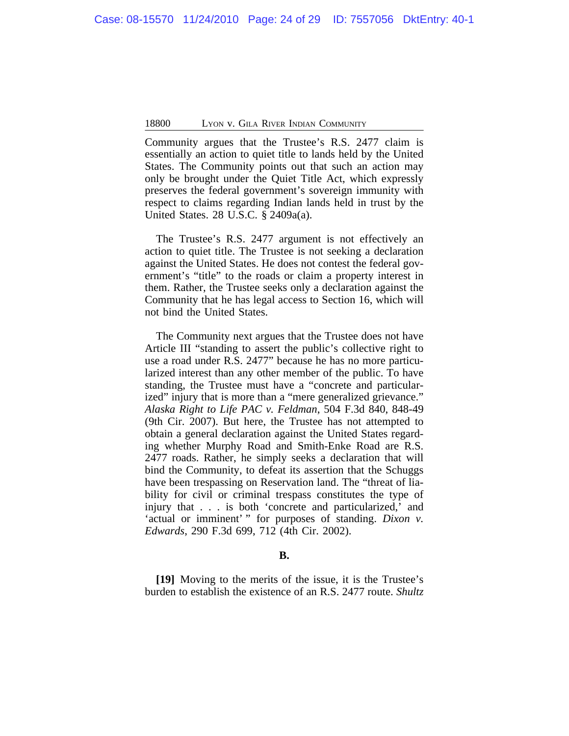Community argues that the Trustee's R.S. 2477 claim is essentially an action to quiet title to lands held by the United States. The Community points out that such an action may only be brought under the Quiet Title Act, which expressly preserves the federal government's sovereign immunity with respect to claims regarding Indian lands held in trust by the United States. 28 U.S.C. § 2409a(a).

The Trustee's R.S. 2477 argument is not effectively an action to quiet title. The Trustee is not seeking a declaration against the United States. He does not contest the federal government's "title" to the roads or claim a property interest in them. Rather, the Trustee seeks only a declaration against the Community that he has legal access to Section 16, which will not bind the United States.

The Community next argues that the Trustee does not have Article III "standing to assert the public's collective right to use a road under R.S. 2477" because he has no more particularized interest than any other member of the public. To have standing, the Trustee must have a "concrete and particularized" injury that is more than a "mere generalized grievance." *Alaska Right to Life PAC v. Feldman*, 504 F.3d 840, 848-49 (9th Cir. 2007). But here, the Trustee has not attempted to obtain a general declaration against the United States regarding whether Murphy Road and Smith-Enke Road are R.S. 2477 roads. Rather, he simply seeks a declaration that will bind the Community, to defeat its assertion that the Schuggs have been trespassing on Reservation land. The "threat of liability for civil or criminal trespass constitutes the type of injury that . . . is both 'concrete and particularized,' and 'actual or imminent' " for purposes of standing. *Dixon v. Edwards*, 290 F.3d 699, 712 (4th Cir. 2002).

#### **B.**

**[19]** Moving to the merits of the issue, it is the Trustee's burden to establish the existence of an R.S. 2477 route. *Shultz*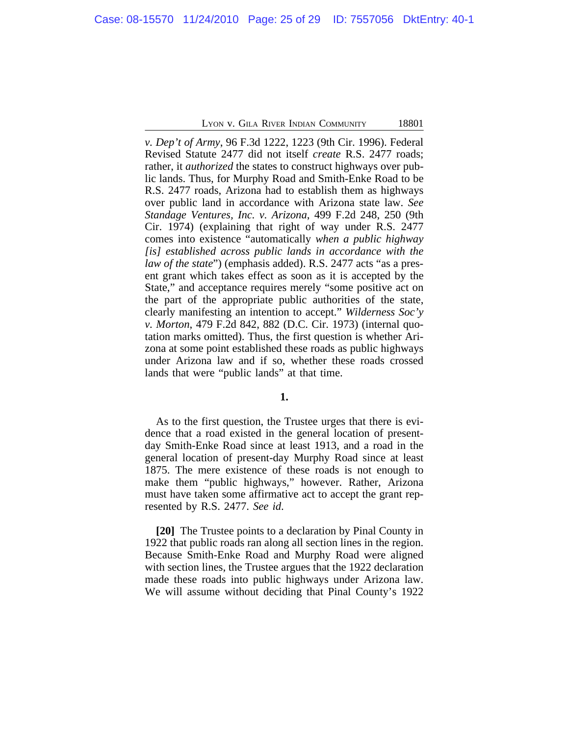*v. Dep't of Army*, 96 F.3d 1222, 1223 (9th Cir. 1996). Federal Revised Statute 2477 did not itself *create* R.S. 2477 roads; rather, it *authorized* the states to construct highways over public lands. Thus, for Murphy Road and Smith-Enke Road to be R.S. 2477 roads, Arizona had to establish them as highways over public land in accordance with Arizona state law. *See Standage Ventures, Inc. v. Arizona*, 499 F.2d 248, 250 (9th Cir. 1974) (explaining that right of way under R.S. 2477 comes into existence "automatically *when a public highway [is] established across public lands in accordance with the law of the state*") (emphasis added). R.S. 2477 acts "as a present grant which takes effect as soon as it is accepted by the State," and acceptance requires merely "some positive act on the part of the appropriate public authorities of the state, clearly manifesting an intention to accept." *Wilderness Soc'y v. Morton*, 479 F.2d 842, 882 (D.C. Cir. 1973) (internal quotation marks omitted). Thus, the first question is whether Arizona at some point established these roads as public highways under Arizona law and if so, whether these roads crossed lands that were "public lands" at that time.

**1.**

As to the first question, the Trustee urges that there is evidence that a road existed in the general location of presentday Smith-Enke Road since at least 1913, and a road in the general location of present-day Murphy Road since at least 1875. The mere existence of these roads is not enough to make them "public highways," however. Rather, Arizona must have taken some affirmative act to accept the grant represented by R.S. 2477. *See id*.

**[20]** The Trustee points to a declaration by Pinal County in 1922 that public roads ran along all section lines in the region. Because Smith-Enke Road and Murphy Road were aligned with section lines, the Trustee argues that the 1922 declaration made these roads into public highways under Arizona law. We will assume without deciding that Pinal County's 1922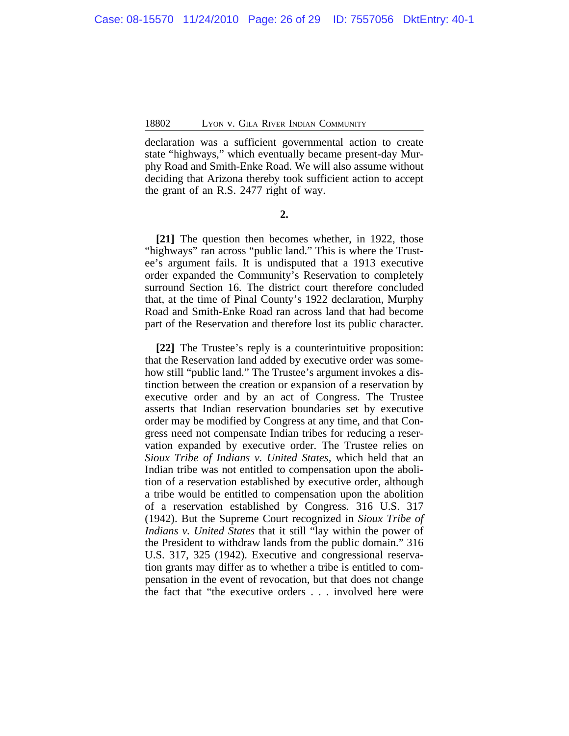declaration was a sufficient governmental action to create state "highways," which eventually became present-day Murphy Road and Smith-Enke Road. We will also assume without deciding that Arizona thereby took sufficient action to accept the grant of an R.S. 2477 right of way.

**2.**

**[21]** The question then becomes whether, in 1922, those "highways" ran across "public land." This is where the Trustee's argument fails. It is undisputed that a 1913 executive order expanded the Community's Reservation to completely surround Section 16. The district court therefore concluded that, at the time of Pinal County's 1922 declaration, Murphy Road and Smith-Enke Road ran across land that had become part of the Reservation and therefore lost its public character.

**[22]** The Trustee's reply is a counterintuitive proposition: that the Reservation land added by executive order was somehow still "public land." The Trustee's argument invokes a distinction between the creation or expansion of a reservation by executive order and by an act of Congress. The Trustee asserts that Indian reservation boundaries set by executive order may be modified by Congress at any time, and that Congress need not compensate Indian tribes for reducing a reservation expanded by executive order. The Trustee relies on *Sioux Tribe of Indians v. United States*, which held that an Indian tribe was not entitled to compensation upon the abolition of a reservation established by executive order, although a tribe would be entitled to compensation upon the abolition of a reservation established by Congress. 316 U.S. 317 (1942). But the Supreme Court recognized in *Sioux Tribe of Indians v. United States* that it still "lay within the power of the President to withdraw lands from the public domain." 316 U.S. 317, 325 (1942). Executive and congressional reservation grants may differ as to whether a tribe is entitled to compensation in the event of revocation, but that does not change the fact that "the executive orders . . . involved here were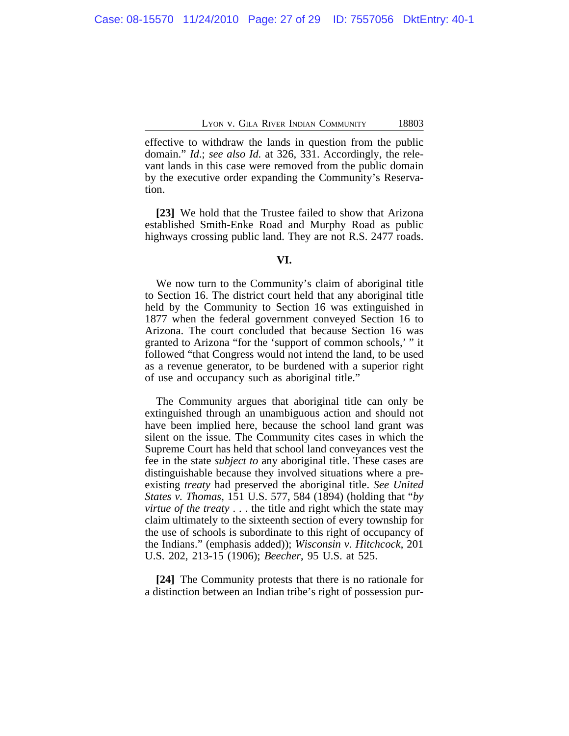effective to withdraw the lands in question from the public domain." *Id*.; *see also Id.* at 326, 331. Accordingly, the relevant lands in this case were removed from the public domain by the executive order expanding the Community's Reservation.

**[23]** We hold that the Trustee failed to show that Arizona established Smith-Enke Road and Murphy Road as public highways crossing public land. They are not R.S. 2477 roads.

#### **VI.**

We now turn to the Community's claim of aboriginal title to Section 16. The district court held that any aboriginal title held by the Community to Section 16 was extinguished in 1877 when the federal government conveyed Section 16 to Arizona. The court concluded that because Section 16 was granted to Arizona "for the 'support of common schools,' " it followed "that Congress would not intend the land, to be used as a revenue generator, to be burdened with a superior right of use and occupancy such as aboriginal title."

The Community argues that aboriginal title can only be extinguished through an unambiguous action and should not have been implied here, because the school land grant was silent on the issue. The Community cites cases in which the Supreme Court has held that school land conveyances vest the fee in the state *subject to* any aboriginal title. These cases are distinguishable because they involved situations where a preexisting *treaty* had preserved the aboriginal title. *See United States v. Thomas*, 151 U.S. 577, 584 (1894) (holding that "*by virtue of the treaty* . . . the title and right which the state may claim ultimately to the sixteenth section of every township for the use of schools is subordinate to this right of occupancy of the Indians." (emphasis added)); *Wisconsin v. Hitchcock*, 201 U.S. 202, 213-15 (1906); *Beecher*, 95 U.S. at 525.

**[24]** The Community protests that there is no rationale for a distinction between an Indian tribe's right of possession pur-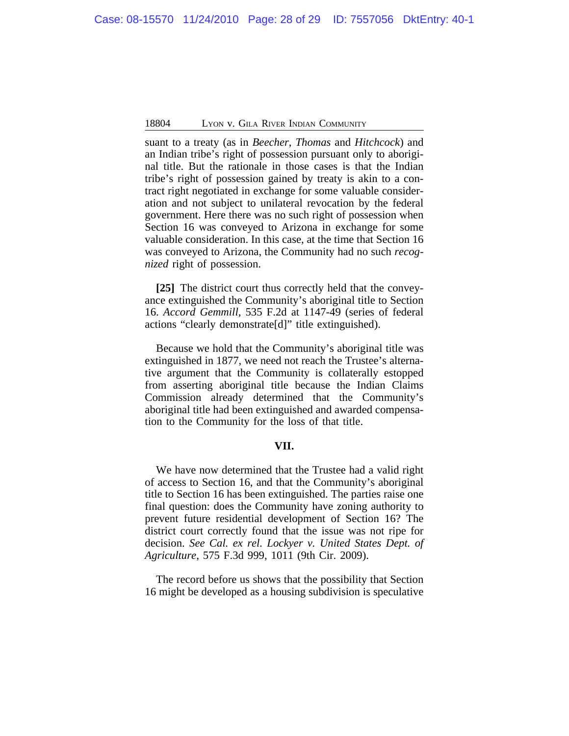suant to a treaty (as in *Beecher*, *Thomas* and *Hitchcock*) and an Indian tribe's right of possession pursuant only to aboriginal title. But the rationale in those cases is that the Indian tribe's right of possession gained by treaty is akin to a contract right negotiated in exchange for some valuable consideration and not subject to unilateral revocation by the federal government. Here there was no such right of possession when Section 16 was conveyed to Arizona in exchange for some valuable consideration. In this case, at the time that Section 16 was conveyed to Arizona, the Community had no such *recognized* right of possession.

**[25]** The district court thus correctly held that the conveyance extinguished the Community's aboriginal title to Section 16. *Accord Gemmill*, 535 F.2d at 1147-49 (series of federal actions "clearly demonstrate[d]" title extinguished).

Because we hold that the Community's aboriginal title was extinguished in 1877, we need not reach the Trustee's alternative argument that the Community is collaterally estopped from asserting aboriginal title because the Indian Claims Commission already determined that the Community's aboriginal title had been extinguished and awarded compensation to the Community for the loss of that title.

## **VII.**

We have now determined that the Trustee had a valid right of access to Section 16, and that the Community's aboriginal title to Section 16 has been extinguished. The parties raise one final question: does the Community have zoning authority to prevent future residential development of Section 16? The district court correctly found that the issue was not ripe for decision. *See Cal. ex rel. Lockyer v. United States Dept. of Agriculture*, 575 F.3d 999, 1011 (9th Cir. 2009).

The record before us shows that the possibility that Section 16 might be developed as a housing subdivision is speculative